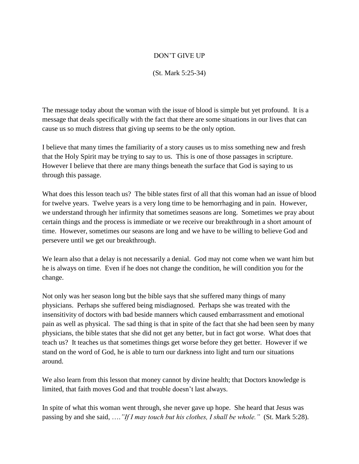## DON'T GIVE UP

(St. Mark 5:25-34)

The message today about the woman with the issue of blood is simple but yet profound. It is a message that deals specifically with the fact that there are some situations in our lives that can cause us so much distress that giving up seems to be the only option.

I believe that many times the familiarity of a story causes us to miss something new and fresh that the Holy Spirit may be trying to say to us. This is one of those passages in scripture. However I believe that there are many things beneath the surface that God is saying to us through this passage.

What does this lesson teach us? The bible states first of all that this woman had an issue of blood for twelve years. Twelve years is a very long time to be hemorrhaging and in pain. However, we understand through her infirmity that sometimes seasons are long. Sometimes we pray about certain things and the process is immediate or we receive our breakthrough in a short amount of time. However, sometimes our seasons are long and we have to be willing to believe God and persevere until we get our breakthrough.

We learn also that a delay is not necessarily a denial. God may not come when we want him but he is always on time. Even if he does not change the condition, he will condition you for the change.

Not only was her season long but the bible says that she suffered many things of many physicians. Perhaps she suffered being misdiagnosed. Perhaps she was treated with the insensitivity of doctors with bad beside manners which caused embarrassment and emotional pain as well as physical. The sad thing is that in spite of the fact that she had been seen by many physicians, the bible states that she did not get any better, but in fact got worse. What does that teach us? It teaches us that sometimes things get worse before they get better. However if we stand on the word of God, he is able to turn our darkness into light and turn our situations around.

We also learn from this lesson that money cannot by divine health; that Doctors knowledge is limited, that faith moves God and that trouble doesn't last always.

In spite of what this woman went through, she never gave up hope. She heard that Jesus was passing by and she said, ….*"If I may touch but his clothes, I shall be whole."* (St. Mark 5:28).